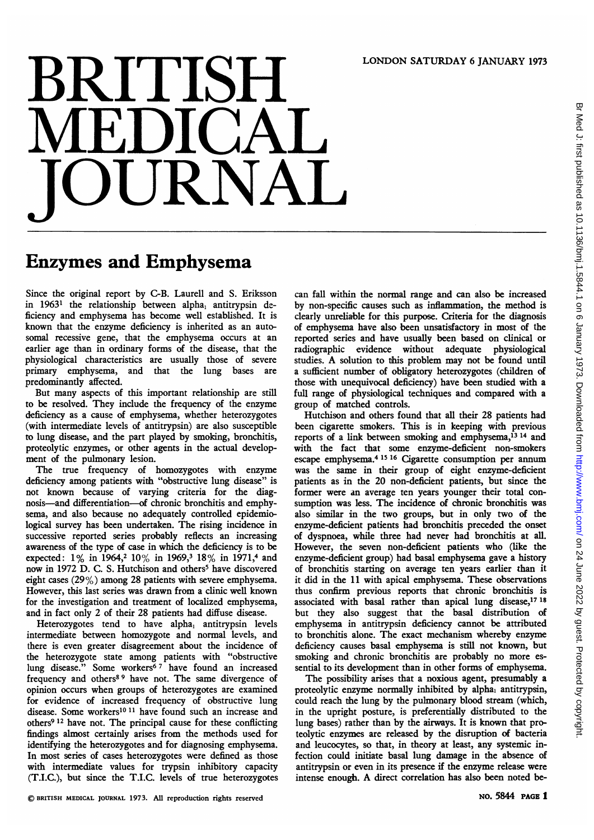## LONDON SATURDAY <sup>6</sup> JANUARY <sup>1973</sup>

## BRITISH JOURNAL

## Enzymes and Emphysema

Since the original report by C-B. Laurell and S. Eriksson in 19631 the relationship between alpha, antitrypsin deficiency and emphysema has become well established. It is known that the enzyme deficiency is inherited as an autosomal recessive gene, that the emphysema occurs at an earlier age than in ordinary forms of the disease, that the physiological characteristics are usually those of severe primary emphysema, and that the lung bases are predominantly affected.

But many aspects of this important relationship are still to be resolved. They include the frequency of the enzyme deficiency as a cause of emphysema, whether heterozygotes (with intermediate levels of antitrypsin) are also susceptible to lung disease, and the part played by smoking, bronchitis, proteolytic enzymes, or other agents in the actual development of the pulmonary lesion.

The true frequency of homozygotes with enzyme deficiency among patients with "obstructive lung disease" is not known because of varying criteria for the diagnosis-and differentiation-of chronic bronchitis and emphysema, and also because no adequately controlled epidemiological survey has been undertaken. The rising incidence in successive reported series probably reflects an increasing awareness of the type of case in which the deficiency is to be expected: 1% in 1964,<sup>2</sup> 10% in 1969,<sup>3</sup> 18% in 1971,<sup>4</sup> and now in 1972 D. C. S. Hutchison and others<sup>5</sup> have discovered eight cases (29%) among 28 patients with severe emphysema. However, this last series was drawn from a clinic well known for the investigation and treatment of localized emphysema, and in fact only 2 of their 28 patients had diffuse disease.

Heterozygotes tend to have alpha, antitrypsin levels intermediate between homozygote and normal levels, and there is even greater disagreement about the incidence of the heterozygote state among patients with "obstructive lung disease." Some workers<sup>67</sup> have found an increased frequency and others<sup>89</sup> have not. The same divergence of opinion occurs when groups of heterozygotes are examined for evidence of increased frequency of obstructive lung disease. Some workers'0 <sup>11</sup> have found such an increase and others9 <sup>12</sup> have not. The principal cause for these conflicting findings almost certainly arises from the methods used for identifying the heterozygotes and for diagnosing emphysema. In most series of cases heterozygotes were defined as those with intermediate values for trypsin inhibitory capacity (T.I.C.), but since the T.I.C. levels of true heterozygotes

can fall within the normal range and can also be increased by non-specific causes such as inflammation, the method is clearly unreliable for this purpose. Criteria for the diagnosis of emphysema have also been unsatisfactory in most of the reported series and have usually been based on clinical or radiographic evidence without adequate physiological studies. A solution to this problem may not be found until a sufficient number of obligatory heterozygotes (children of those with unequivocal deficiency) have been studied with a full range of physiological techniques and compared with a group of matched controls.

Hutchison and others found that all their 28 patients had been cigarette smokers. This is in keeping with previous reports of a link between smoking and emphysema, $^{13}$  14 and with the fact that some enzyme-deficient non-smokers escape emphysema.4 <sup>15</sup> <sup>16</sup> Cigarette consumption per annum was the same in their group of eight enzyme-deficient patients as in the 20 non-deficient patients, but since the former were an average ten years younger their total consumption was less. The incidence of chronic bronchitis was also similar in the two groups, but in only two of the enzyme-deficient patients had bronchitis preceded the onset of dyspnoea, while three had never had bronchitis at all. However, the seven non-deficient patients who (like the enzyme-deficient group) had basal emphysema gave a history of bronchitis starting on average ten years earlier than it it did in the 11 with apical emphysema. These observations thus confirm previous reports that chronic bronchitis is associated with basal rather than apical lung disease,<sup>17 18</sup> but they also suggest that the basal distribution of emphysema in antitrypsin deficiency cannot be attributed to bronchitis alone. The exact mechanism whereby enzyme deficiency causes basal emphysema is still not known, but smoking and chronic bronchitis are probably no more essential to its development than in other forms of emphysema.

The possibility arises that a noxious agent, presumably a proteolytic enzyme normally inhibited by alpha, antitrypsin, could reach the lung by the pulmonary blood stream (which, in the upright posture, is preferentially distributed to the lung bases) rather than by the airways. It is known that proteolytic enzymes are released by the disruption of bacteria and leucocytes, so that, in theory at least, any systemic infection could initiate basal lung damage in the absence of antitrypsin or even in its presence if the enzyme release were intense enough. A direct correlation has also been noted be